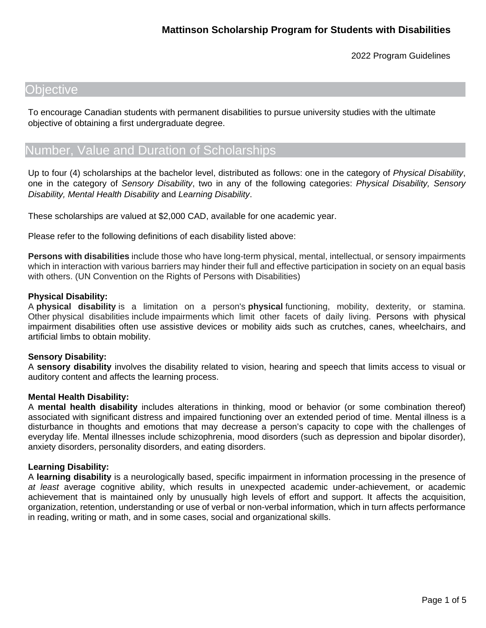## **Objective**

To encourage Canadian students with permanent disabilities to pursue university studies with the ultimate objective of obtaining a first undergraduate degree.

# Number, Value and Duration of Scholarships

Up to four (4) scholarships at the bachelor level, distributed as follows: one in the category of *Physical Disability*, one in the category of *Sensory Disability*, two in any of the following categories: *Physical Disability, Sensory Disability, Mental Health Disability* and *Learning Disability*.

These scholarships are valued at \$2,000 CAD, available for one academic year.

Please refer to the following definitions of each disability listed above:

**Persons with disabilities** include those who have long-term physical, mental, intellectual, or sensory impairments which in interaction with various barriers may hinder their full and effective participation in society on an equal basis with others. (UN Convention on the Rights of Persons with Disabilities)

### **Physical Disability:**

A **physical disability** is a limitation on a person's **physical** functioning, mobility, dexterity, or stamina. Other physical disabilities include impairments which limit other facets of daily living. Persons with physical impairment disabilities often use assistive devices or mobility aids such as crutches, canes, wheelchairs, and artificial limbs to obtain mobility.

### **Sensory Disability:**

A **sensory disability** involves the disability related to vision, hearing and speech that limits access to visual or auditory content and affects the learning process.

### **Mental Health Disability:**

A **mental health disability** includes alterations in thinking, mood or behavior (or some combination thereof) associated with significant distress and impaired functioning over an extended period of time. Mental illness is a disturbance in thoughts and emotions that may decrease a person's capacity to cope with the challenges of everyday life. Mental illnesses include schizophrenia, mood disorders (such as depression and bipolar disorder), anxiety disorders, personality disorders, and eating disorders.

### **Learning Disability:**

A **learning disability** is a neurologically based, specific impairment in information processing in the presence of *at least* average cognitive ability, which results in unexpected academic under-achievement, or academic achievement that is maintained only by unusually high levels of effort and support. It affects the acquisition, organization, retention, understanding or use of verbal or non-verbal information, which in turn affects performance in reading, writing or math, and in some cases, social and organizational skills.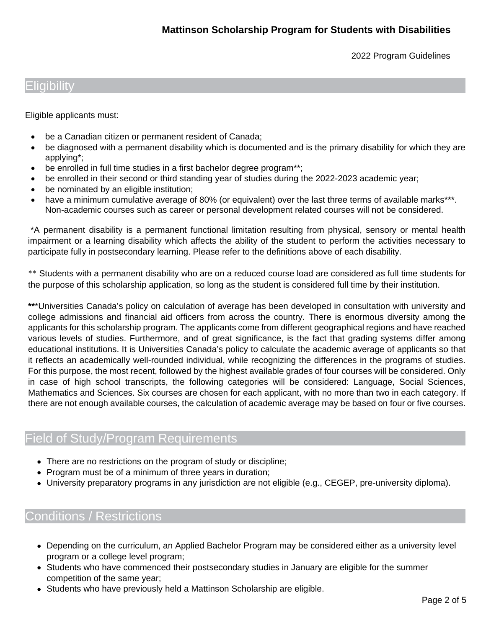## Eligibility

Eligible applicants must:

- be a Canadian citizen or permanent resident of Canada;
- be diagnosed with a permanent disability which is documented and is the primary disability for which they are applying\*;
- be enrolled in full time studies in a first bachelor degree program\*\*;
- be enrolled in their second or third standing year of studies during the 2022-2023 academic year;
- be nominated by an eligible institution;
- have a minimum cumulative average of 80% (or equivalent) over the last three terms of available marks\*\*\*. Non-academic courses such as career or personal development related courses will not be considered.

\*A permanent disability is a permanent functional limitation resulting from physical, sensory or mental health impairment or a learning disability which affects the ability of the student to perform the activities necessary to participate fully in postsecondary learning. Please refer to the definitions above of each disability.

\*\* Students with a permanent disability who are on a reduced course load are considered as full time students for the purpose of this scholarship application, so long as the student is considered full time by their institution.

**\*\***\*Universities Canada's policy on calculation of average has been developed in consultation with university and college admissions and financial aid officers from across the country. There is enormous diversity among the applicants for this scholarship program. The applicants come from different geographical regions and have reached various levels of studies. Furthermore, and of great significance, is the fact that grading systems differ among educational institutions. It is Universities Canada's policy to calculate the academic average of applicants so that it reflects an academically well-rounded individual, while recognizing the differences in the programs of studies. For this purpose, the most recent, followed by the highest available grades of four courses will be considered. Only in case of high school transcripts, the following categories will be considered: Language, Social Sciences, Mathematics and Sciences. Six courses are chosen for each applicant, with no more than two in each category. If there are not enough available courses, the calculation of academic average may be based on four or five courses.

# Field of Study/Program Requirements

- There are no restrictions on the program of study or discipline;
- Program must be of a minimum of three years in duration;
- University preparatory programs in any jurisdiction are not eligible (e.g., CEGEP, pre-university diploma).

# Conditions / Restrictions

- Depending on the curriculum, an Applied Bachelor Program may be considered either as a university level program or a college level program;
- Students who have commenced their postsecondary studies in January are eligible for the summer competition of the same year;
- Students who have previously held a Mattinson Scholarship are eligible.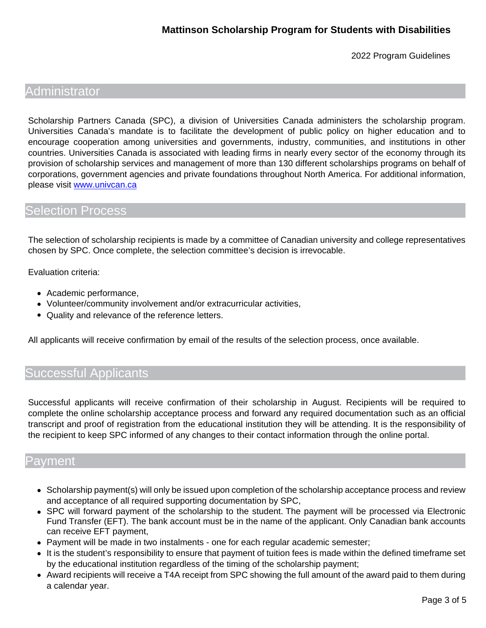## **Administrator**

Scholarship Partners Canada (SPC), a division of Universities Canada administers the scholarship program. Universities Canada's mandate is to facilitate the development of public policy on higher education and to encourage cooperation among universities and governments, industry, communities, and institutions in other countries. Universities Canada is associated with leading firms in nearly every sector of the economy through its provision of scholarship services and management of more than 130 different scholarships programs on behalf of corporations, government agencies and private foundations throughout North America. For additional information, please visit [www.univcan.ca](http://www.univcan.ca/)

### Selection Process

The selection of scholarship recipients is made by a committee of Canadian university and college representatives chosen by SPC. Once complete, the selection committee's decision is irrevocable.

Evaluation criteria:

- Academic performance,
- Volunteer/community involvement and/or extracurricular activities,
- Quality and relevance of the reference letters.

All applicants will receive confirmation by email of the results of the selection process, once available.

# Successful Applicants

Successful applicants will receive confirmation of their scholarship in August. Recipients will be required to complete the online scholarship acceptance process and forward any required documentation such as an official transcript and proof of registration from the educational institution they will be attending. It is the responsibility of the recipient to keep SPC informed of any changes to their contact information through the online portal.

### Payment

- Scholarship payment(s) will only be issued upon completion of the scholarship acceptance process and review and acceptance of all required supporting documentation by SPC,
- SPC will forward payment of the scholarship to the student. The payment will be processed via Electronic Fund Transfer (EFT). The bank account must be in the name of the applicant. Only Canadian bank accounts can receive EFT payment,
- Payment will be made in two instalments one for each regular academic semester;
- It is the student's responsibility to ensure that payment of tuition fees is made within the defined timeframe set by the educational institution regardless of the timing of the scholarship payment;
- Award recipients will receive a T4A receipt from SPC showing the full amount of the award paid to them during a calendar year.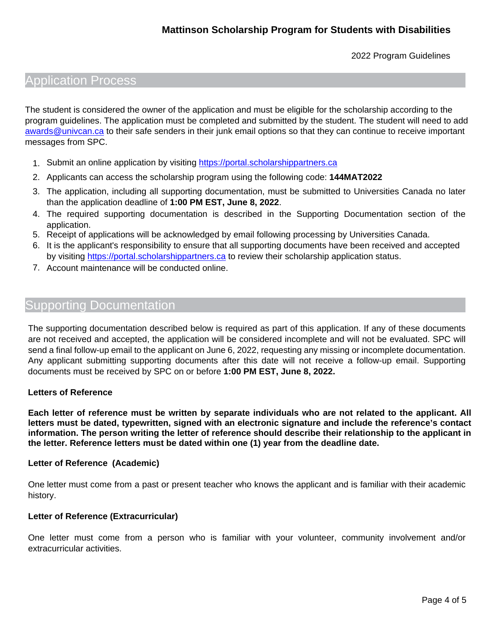# Application Process

The student is considered the owner of the application and must be eligible for the scholarship according to the program guidelines. The application must be completed and submitted by the student. The student will need to add [awards@univcan.ca](mailto:awards@univcan.ca) to their safe senders in their junk email options so that they can continue to receive important messages from SPC.

- 1. Submit an online application by visiting [https://portal.scholarshippartners.ca](https://portal.scholarshippartners.ca/)
- 2. Applicants can access the scholarship program using the following code: **144MAT2022**
- 3. The application, including all supporting documentation, must be submitted to Universities Canada no later than the application deadline of **1:00 PM EST, June 8, 2022**.
- 4. The required supporting documentation is described in the Supporting Documentation section of the application.
- 5. Receipt of applications will be acknowledged by email following processing by Universities Canada.
- 6. It is the applicant's responsibility to ensure that all supporting documents have been received and accepted by visiting [https://portal.scholarshippartners.ca](https://portal.scholarshippartners.ca/) to review their scholarship application status.
- 7. Account maintenance will be conducted online.

### Supporting Documentation

The supporting documentation described below is required as part of this application. If any of these documents are not received and accepted, the application will be considered incomplete and will not be evaluated. SPC will send a final follow-up email to the applicant on June 6, 2022, requesting any missing or incomplete documentation. Any applicant submitting supporting documents after this date will not receive a follow-up email. Supporting documents must be received by SPC on or before **1:00 PM EST, June 8, 2022.**

### **Letters of Reference**

**Each letter of reference must be written by separate individuals who are not related to the applicant. All letters must be dated, typewritten, signed with an electronic signature and include the reference's contact information. The person writing the letter of reference should describe their relationship to the applicant in the letter. Reference letters must be dated within one (1) year from the deadline date.**

### **Letter of Reference (Academic)**

One letter must come from a past or present teacher who knows the applicant and is familiar with their academic history.

### **Letter of Reference (Extracurricular)**

One letter must come from a person who is familiar with your volunteer, community involvement and/or extracurricular activities.